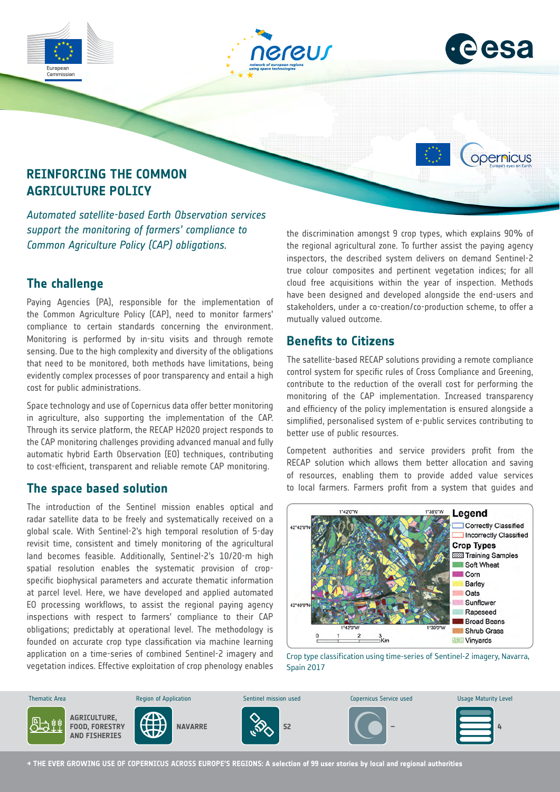



opernicus

# **REINFORCING THE COMMON AGRICULTURE POLICY**

*Automated satellite-based Earth Observation services support the monitoring of farmers' compliance to Common Agriculture Policy (CAP) obligations.*

# **The challenge**

Commission

Paying Agencies (PA), responsible for the implementation of the Common Agriculture Policy (CAP), need to monitor farmers' compliance to certain standards concerning the environment. Monitoring is performed by in-situ visits and through remote sensing. Due to the high complexity and diversity of the obligations that need to be monitored, both methods have limitations, being evidently complex processes of poor transparency and entail a high cost for public administrations.

Space technology and use of Copernicus data offer better monitoring in agriculture, also supporting the implementation of the CAP. Through its service platform, the RECAP H2020 project responds to the CAP monitoring challenges providing advanced manual and fully automatic hybrid Earth Observation (EO) techniques, contributing to cost-efficient, transparent and reliable remote CAP monitoring.

### **The space based solution**

The introduction of the Sentinel mission enables optical and radar satellite data to be freely and systematically received on a global scale. With Sentinel-2's high temporal resolution of 5-day revisit time, consistent and timely monitoring of the agricultural land becomes feasible. Additionally, Sentinel-2's 10/20-m high spatial resolution enables the systematic provision of cropspecific biophysical parameters and accurate thematic information at parcel level. Here, we have developed and applied automated EO processing workflows, to assist the regional paying agency inspections with respect to farmers' compliance to their CAP obligations; predictably at operational level. The methodology is founded on accurate crop type classification via machine learning application on a time-series of combined Sentinel-2 imagery and vegetation indices. Effective exploitation of crop phenology enables and Energy

the discrimination amongst 9 crop types, which explains 90% of the regional agricultural zone. To further assist the paying agency inspectors, the described system delivers on demand Sentinel-2 true colour composites and pertinent vegetation indices; for all cloud free acquisitions within the year of inspection. Methods have been designed and developed alongside the end-users and stakeholders, under a co-creation/co-production scheme, to offer a mutually valued outcome.

## **Benefits to Citizens**

The satellite-based RECAP solutions providing a remote compliance control system for specific rules of Cross Compliance and Greening, contribute to the reduction of the overall cost for performing the monitoring of the CAP implementation. Increased transparency and efficiency of the policy implementation is ensured alongside a simplified, personalised system of e-public services contributing to better use of public resources.

Competent authorities and service providers profit from the RECAP solution which allows them better allocation and saving of resources, enabling them to provide added value services to local farmers. Farmers profit from a system that guides and



Crop type classification using time-series of Sentinel-2 imagery, Navarra, Spain 2017



**→ THE EVER GROWING USE OF COPERNICUS ACROSS EUROPE'S REGIONS: A selection of 99 user stories by local and regional authorities**